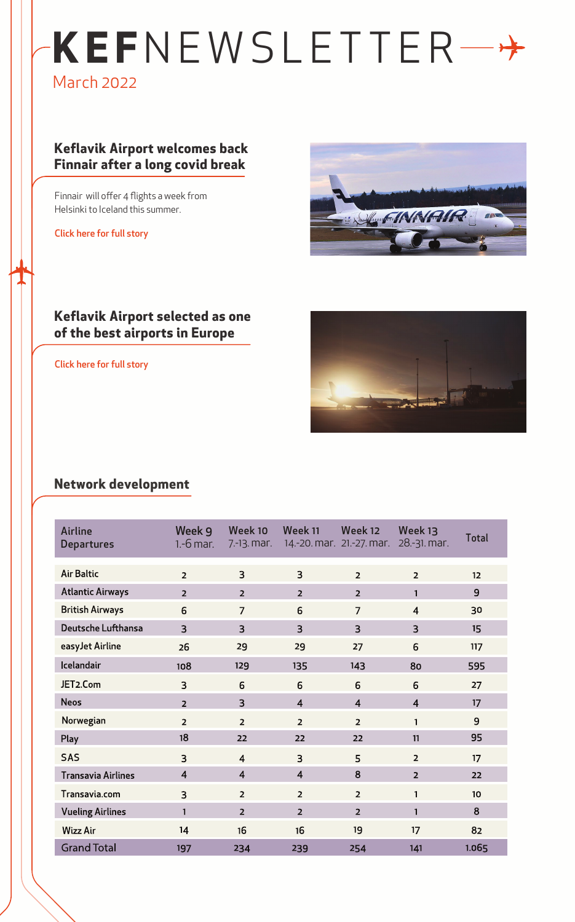# **KEF**NEWSLETTER March 2022

## **Keflavik Airport welcomes back Finnair after a long covid break**

Finnair will offer 4 flights a week from Helsinki to Iceland this summer.

[Click here for full story](https://www.linkedin.com/posts/kefairport_wheninkef-kefairport-finnair-activity-6914950230769639424-PWbx?utm_source=linkedin_share&utm_medium=ios_app)



### **Keflavik Airport selected as one of the best airports in Europe**

[Click here for full story](https://www.linkedin.com/posts/kefairport_lets-celebrate-keflav%C3%ADk-airport-has-activity-6907702558132178944-IMrB?utm_source=linkedin_share&utm_medium=ios_app)



## **Network development**

| Airline<br><b>Departures</b> | Week 9<br>$1.-6$ mar. | Week 10<br>$7.-13.$ mar. | Week 11        | Week 12<br>14.-20. mar. 21.-27. mar. | Week 13<br>28.-31. mar. | <b>Total</b> |
|------------------------------|-----------------------|--------------------------|----------------|--------------------------------------|-------------------------|--------------|
| <b>Air Baltic</b>            | $\overline{2}$        | 3                        | 3              | $\overline{2}$                       | $\overline{2}$          | 12           |
| <b>Atlantic Airways</b>      | $\overline{2}$        | $\overline{2}$           | $\overline{2}$ | $\overline{2}$                       | $\mathbf{1}$            | 9            |
| <b>British Airways</b>       | 6                     | $\overline{7}$           | 6              | $\overline{7}$                       | $\overline{4}$          | 30           |
| Deutsche Lufthansa           | $\overline{3}$        | $\overline{3}$           | $\overline{3}$ | $\overline{3}$                       | $\overline{3}$          | 15           |
| easyJet Airline              | 26                    | 29                       | 29             | 27                                   | 6                       | 117          |
| Icelandair                   | 108                   | 129                      | 135            | 143                                  | 80                      | 595          |
| JET2.Com                     | $\overline{3}$        | 6                        | 6              | 6                                    | 6                       | 27           |
| <b>Neos</b>                  | $\overline{2}$        | 3                        | $\overline{4}$ | $\overline{4}$                       | $\overline{4}$          | 17           |
| Norwegian                    | $\overline{2}$        | $\overline{2}$           | $\overline{2}$ | $\overline{2}$                       | $\mathbf{1}$            | 9            |
| Play                         | 18                    | 22                       | 22             | 22                                   | 11                      | 95           |
| <b>SAS</b>                   | $\overline{3}$        | $\overline{4}$           | $\overline{3}$ | 5                                    | $\overline{2}$          | 17           |
| <b>Transavia Airlines</b>    | $\overline{4}$        | $\overline{4}$           | $\overline{4}$ | 8                                    | $\overline{2}$          | 22           |
| Transavia.com                | 3                     | $\overline{2}$           | $\overline{2}$ | $\overline{2}$                       | 1                       | 10           |
| <b>Vueling Airlines</b>      | $\mathbf{1}$          | $\overline{2}$           | $\overline{2}$ | $\overline{2}$                       | $\mathbf{1}$            | 8            |
| <b>Wizz Air</b>              | 14                    | 16                       | 16             | 19                                   | 17                      | 82           |
| <b>Grand Total</b>           | 197                   | 234                      | 239            | 254                                  | 141                     | 1.065        |